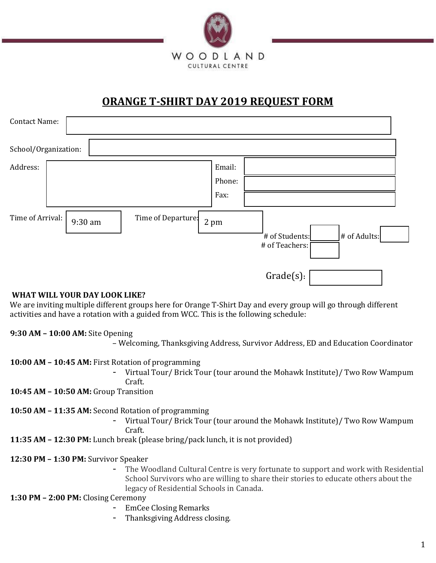

# **ORANGE T-SHIRT DAY 2019 REQUEST FORM**

| <b>Contact Name:</b>        |                                                                                |  |
|-----------------------------|--------------------------------------------------------------------------------|--|
| School/Organization:        |                                                                                |  |
| Address:                    | Email:<br>Phone:<br>Fax:                                                       |  |
| Time of Arrival:<br>9:30 am | Time of Departure:<br>2 pm<br># of Adults:<br># of Students:<br># of Teachers: |  |
|                             | Grade(s):                                                                      |  |

## **WHAT WILL YOUR DAY LOOK LIKE?**

We are inviting multiple different groups here for Orange T-Shirt Day and every group will go through different activities and have a rotation with a guided from WCC. This is the following schedule:

## **9:30 AM – 10:00 AM:** Site Opening

– Welcoming, Thanksgiving Address, Survivor Address, ED and Education Coordinator

#### **10:00 AM – 10:45 AM:** First Rotation of programming

- Virtual Tour/ Brick Tour (tour around the Mohawk Institute)/ Two Row Wampum Craft.

**10:45 AM – 10:50 AM:** Group Transition

**10:50 AM – 11:35 AM:** Second Rotation of programming

- Virtual Tour/ Brick Tour (tour around the Mohawk Institute)/ Two Row Wampum Craft.

**11:35 AM – 12:30 PM:** Lunch break (please bring/pack lunch, it is not provided)

## **12:30 PM – 1:30 PM:** Survivor Speaker

The Woodland Cultural Centre is very fortunate to support and work with Residential School Survivors who are willing to share their stories to educate others about the legacy of Residential Schools in Canada.

## **1:30 PM – 2:00 PM:** Closing Ceremony

- EmCee Closing Remarks
- Thanksgiving Address closing.